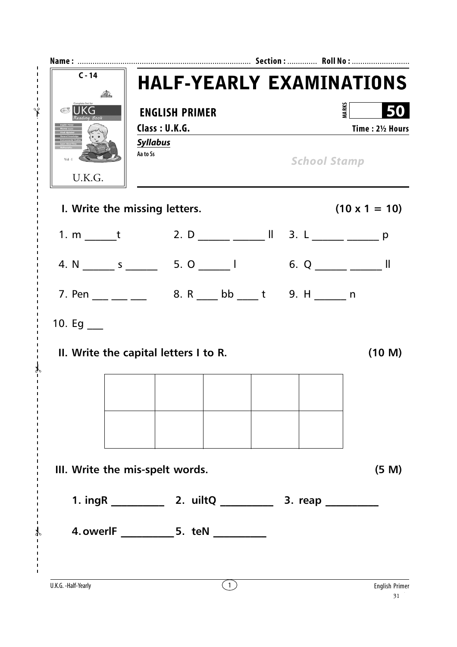| $C - 14$                       | <b>HALF-YEARLY EXAMINATIONS</b>                                                                                                                                                                                                                                                                                   |                     |                        |
|--------------------------------|-------------------------------------------------------------------------------------------------------------------------------------------------------------------------------------------------------------------------------------------------------------------------------------------------------------------|---------------------|------------------------|
| Complete Set for<br><b>UKG</b> | <b>ENGLISH PRIMER</b><br>Class: U.K.G.<br><b>Syllabus</b>                                                                                                                                                                                                                                                         | <b>MARKS</b>        | 50<br>Time: 21/2 Hours |
| $Vol-I$<br>U.K.G.              | Aa to Ss                                                                                                                                                                                                                                                                                                          | <b>School Stamp</b> |                        |
|                                | I. Write the missing letters.                                                                                                                                                                                                                                                                                     |                     | $(10 \times 1 = 10)$   |
|                                | 1. m t 2. D $\frac{1}{2}$ $\frac{1}{2}$ $\frac{1}{2}$ $\frac{1}{2}$ $\frac{1}{2}$ $\frac{1}{2}$ $\frac{1}{2}$ $\frac{1}{2}$ $\frac{1}{2}$ $\frac{1}{2}$ $\frac{1}{2}$ $\frac{1}{2}$ $\frac{1}{2}$ $\frac{1}{2}$ $\frac{1}{2}$ $\frac{1}{2}$ $\frac{1}{2}$ $\frac{1}{2}$ $\frac{1}{2}$ $\frac{1}{2}$ $\frac{1}{2}$ |                     |                        |
|                                |                                                                                                                                                                                                                                                                                                                   |                     |                        |
|                                | 7. Pen __ __ __ _ _ 8. R __ bb ___ t 9. H ____ n                                                                                                                                                                                                                                                                  |                     |                        |
| 10. Eg $\_\_$                  |                                                                                                                                                                                                                                                                                                                   |                     |                        |
|                                | II. Write the capital letters I to R.                                                                                                                                                                                                                                                                             |                     | (10 M)                 |
|                                |                                                                                                                                                                                                                                                                                                                   |                     |                        |
|                                |                                                                                                                                                                                                                                                                                                                   |                     |                        |
|                                | III. Write the mis-spelt words.                                                                                                                                                                                                                                                                                   |                     | (5 M)                  |
|                                |                                                                                                                                                                                                                                                                                                                   |                     |                        |
|                                |                                                                                                                                                                                                                                                                                                                   |                     |                        |

✃

 $\lambda$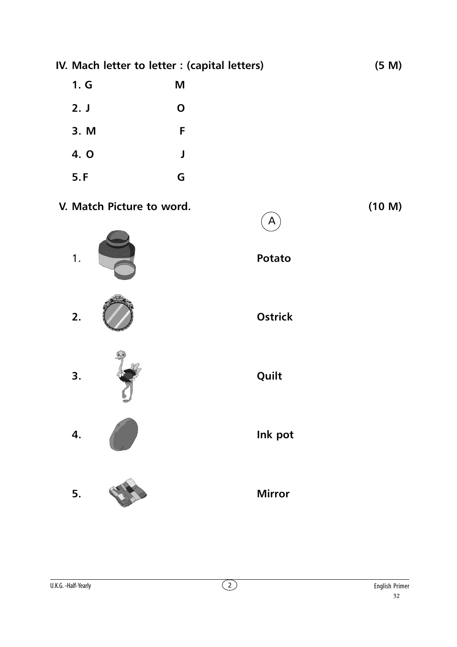